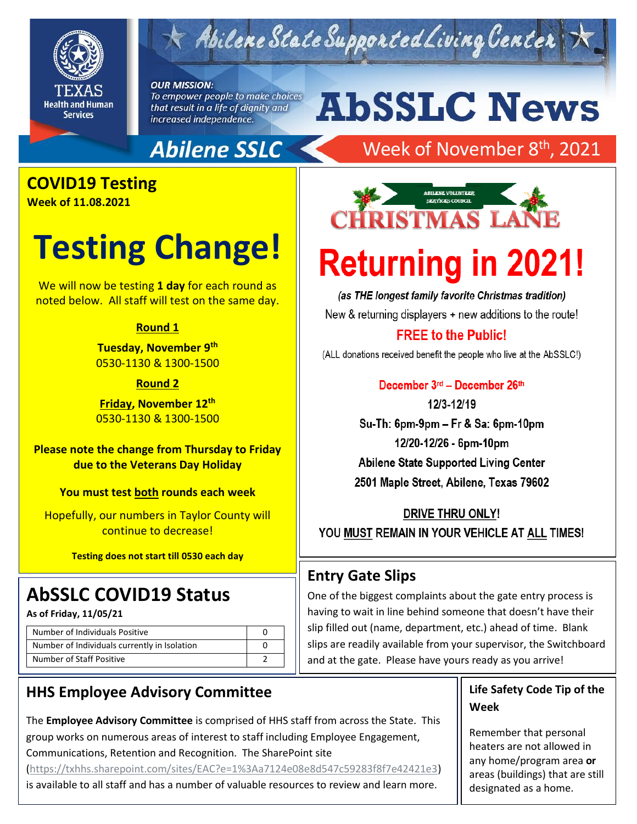

## Abilene State Supported Living Center

#### **OUR MISSION:**

To empower people to make choices that result in a life of dignity and increased independence.

# **AbSSLC News**

### **Abilene SSLC**

## Week of November 8<sup>th</sup>, 2021

## **COVID19 Testing**

**Week of 11.08.2021**

## **Testing Change!**

We will now be testing **1 day** for each round as noted below. All staff will test on the same day.

#### **Round 1**

**Tuesday, November 9 th** 0530-1130 & 1300-1500

#### **Round 2**

**Friday, November 12th** 0530-1130 & 1300-1500

**Please note the change from Thursday to Friday due to the Veterans Day Holiday**

**You must test both rounds each week**

Hopefully, our numbers in Taylor County will continue to decrease!

**Testing does not start till 0530 each day**

### **AbSSLC COVID19 Status**

**As of Friday, 11/05/21**

| Number of Individuals Positive               |  |
|----------------------------------------------|--|
| Number of Individuals currently in Isolation |  |
| Number of Staff Positive                     |  |

### **HHS Employee Advisory Committee**

The **Employee Advisory Committee** is comprised of HHS staff from across the State. This group works on numerous areas of interest to staff including Employee Engagement, Communications, Retention and Recognition. The SharePoint site

[\(https://txhhs.sharepoint.com/sites/EAC?e=1%3Aa7124e08e8d547c59283f8f7e42421e3\)](https://txhhs.sharepoint.com/sites/EAC?e=1%3Aa7124e08e8d547c59283f8f7e42421e3)

is available to all staff and has a number of valuable resources to review and learn more.



# **Returning in 2021!**

(as THE longest family favorite Christmas tradition) New & returning displayers + new additions to the route!

### **FREE to the Public!**

(ALL donations received benefit the people who live at the AbSSLC!)

December 3rd - December 26th 12/3-12/19 Su-Th: 6pm-9pm - Fr & Sa: 6pm-10pm 12/20-12/26 - 6pm-10pm

Abilene State Supported Living Center 2501 Maple Street, Abilene, Texas 79602

DRIVE THRU ONLY! YOU MUST REMAIN IN YOUR VEHICLE AT ALL TIMES!

### **Entry Gate Slips**

One of the biggest complaints about the gate entry process is having to wait in line behind someone that doesn't have their slip filled out (name, department, etc.) ahead of time. Blank slips are readily available from your supervisor, the Switchboard and at the gate. Please have yours ready as you arrive!

### **Life Safety Code Tip of the Week**

Remember that personal heaters are not allowed in any home/program area **or** areas (buildings) that are still designated as a home.